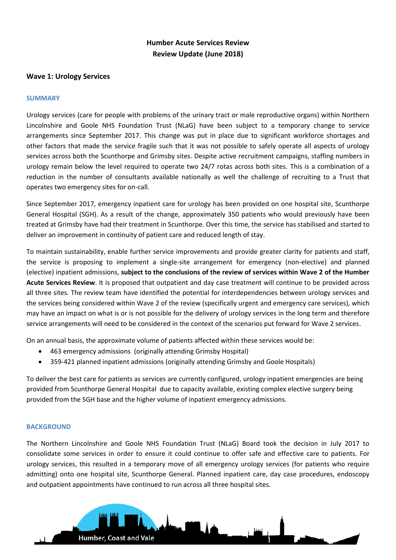# **Humber Acute Services Review Review Update (June 2018)**

### **Wave 1: Urology Services**

#### **SUMMARY**

Urology services (care for people with problems of the urinary tract or male reproductive organs) within Northern Lincolnshire and Goole NHS Foundation Trust (NLaG) have been subject to a temporary change to service arrangements since September 2017. This change was put in place due to significant workforce shortages and other factors that made the service fragile such that it was not possible to safely operate all aspects of urology services across both the Scunthorpe and Grimsby sites. Despite active recruitment campaigns, staffing numbers in urology remain below the level required to operate two 24/7 rotas across both sites. This is a combination of a reduction in the number of consultants available nationally as well the challenge of recruiting to a Trust that operates two emergency sites for on-call.

Since September 2017, emergency inpatient care for urology has been provided on one hospital site, Scunthorpe General Hospital (SGH). As a result of the change, approximately 350 patients who would previously have been treated at Grimsby have had their treatment in Scunthorpe. Over this time, the service has stabilised and started to deliver an improvement in continuity of patient care and reduced length of stay.

To maintain sustainability, enable further service improvements and provide greater clarity for patients and staff, the service is proposing to implement a single-site arrangement for emergency (non-elective) and planned (elective) inpatient admissions, **subject to the conclusions of the review of services within Wave 2 of the Humber Acute Services Review**. It is proposed that outpatient and day case treatment will continue to be provided across all three sites. The review team have identified the potential for interdependencies between urology services and the services being considered within Wave 2 of the review (specifically urgent and emergency care services), which may have an impact on what is or is not possible for the delivery of urology services in the long term and therefore service arrangements will need to be considered in the context of the scenarios put forward for Wave 2 services.

On an annual basis, the approximate volume of patients affected within these services would be:

- 463 emergency admissions (originally attending Grimsby Hospital)
- 359-421 planned inpatient admissions (originally attending Grimsby and Goole Hospitals)

To deliver the best care for patients as services are currently configured, urology inpatient emergencies are being provided from Scunthorpe General Hospital due to capacity available, existing complex elective surgery being provided from the SGH base and the higher volume of inpatient emergency admissions.

#### **BACKGROUND**

The Northern Lincolnshire and Goole NHS Foundation Trust (NLaG) Board took the decision in July 2017 to consolidate some services in order to ensure it could continue to offer safe and effective care to patients. For urology services, this resulted in a temporary move of all emergency urology services (for patients who require admitting) onto one hospital site, Scunthorpe General. Planned inpatient care, day case procedures, endoscopy and outpatient appointments have continued to run across all three hospital sites.

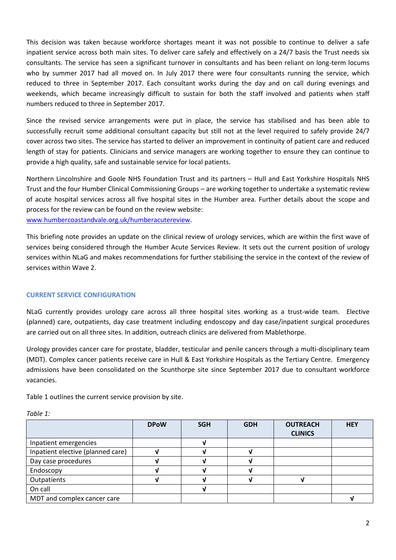This decision was taken because workforce shortages meant it was not possible to continue to deliver a safe inpatient service across both main sites. To deliver care safely and effectively on a 24/7 basis the Trust needs six consultants. The service has seen a significant turnover in consultants and has been reliant on long-term locums who by summer 2017 had all moved on. In July 2017 there were four consultants running the service, which reduced to three in September 2017. Each consultant works during the day and on call during evenings and weekends, which became increasingly difficult to sustain for both the staff involved and patients when staff numbers reduced to three in September 2017.

Since the revised service arrangements were put in place, the service has stabilised and has been able to successfully recruit some additional consultant capacity but still not at the level required to safely provide 24/7 cover across two sites. The service has started to deliver an improvement in continuity of patient care and reduced length of stay for patients. Clinicians and service managers are working together to ensure they can continue to provide a high quality, safe and sustainable service for local patients.

Northern Lincolnshire and Goole NHS Foundation Trust and its partners – Hull and East Yorkshire Hospitals NHS Trust and the four Humber Clinical Commissioning Groups – are working together to undertake a systematic review of acute hospital services across all five hospital sites in the Humber area. Further details about the scope and process for the review can be found on the review website: [www.humbercoastandvale.org.uk/humberacutereview.](http://www.humbercoastandvale.org.uk/humberacutereview)

This briefing note provides an update on the clinical review of urology services, which are within the first wave of services being considered through the Humber Acute Services Review. It sets out the current position of urology services within NLaG and makes recommendations for further stabilising the service in the context of the review of services within Wave 2.

# **CURRENT SERVICE CONFIGURATION**

NLaG currently provides urology care across all three hospital sites working as a trust-wide team. Elective (planned) care, outpatients, day case treatment including endoscopy and day case/inpatient surgical procedures are carried out on all three sites. In addition, outreach clinics are delivered from Mablethorpe.

Urology provides cancer care for prostate, bladder, testicular and penile cancers through a multi-disciplinary team (MDT). Complex cancer patients receive care in Hull & East Yorkshire Hospitals as the Tertiary Centre. Emergency admissions have been consolidated on the Scunthorpe site since September 2017 due to consultant workforce vacancies.

Table 1 outlines the current service provision by site.

|                                   | <b>DPoW</b> | <b>SGH</b> | <b>GDH</b> | <b>OUTREACH</b><br><b>CLINICS</b> | <b>HEY</b> |
|-----------------------------------|-------------|------------|------------|-----------------------------------|------------|
| Inpatient emergencies             |             |            |            |                                   |            |
| Inpatient elective (planned care) |             |            |            |                                   |            |
| Day case procedures               |             |            |            |                                   |            |
| Endoscopy                         |             |            |            |                                   |            |
| Outpatients                       |             |            |            |                                   |            |
| On call                           |             |            |            |                                   |            |
| MDT and complex cancer care       |             |            |            |                                   |            |

*Table 1:*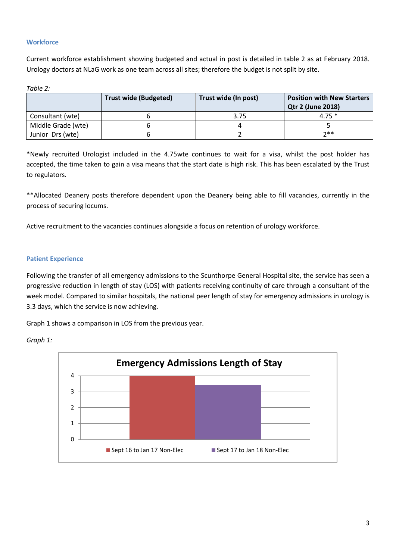## **Workforce**

Current workforce establishment showing budgeted and actual in post is detailed in table 2 as at February 2018. Urology doctors at NLaG work as one team across all sites; therefore the budget is not split by site.

| ahle |  |
|------|--|
|      |  |

|                    | <b>Trust wide (Budgeted)</b> | Trust wide (In post) | <b>Position with New Starters</b><br><b>Qtr 2 (June 2018)</b> |
|--------------------|------------------------------|----------------------|---------------------------------------------------------------|
| Consultant (wte)   |                              | 3.75                 | $4.75*$                                                       |
| Middle Grade (wte) |                              |                      |                                                               |
| Junior Drs (wte)   |                              |                      | $7**$                                                         |

\*Newly recruited Urologist included in the 4.75wte continues to wait for a visa, whilst the post holder has accepted, the time taken to gain a visa means that the start date is high risk. This has been escalated by the Trust to regulators.

\*\*Allocated Deanery posts therefore dependent upon the Deanery being able to fill vacancies, currently in the process of securing locums.

Active recruitment to the vacancies continues alongside a focus on retention of urology workforce.

### **Patient Experience**

Following the transfer of all emergency admissions to the Scunthorpe General Hospital site, the service has seen a progressive reduction in length of stay (LOS) with patients receiving continuity of care through a consultant of the week model. Compared to similar hospitals, the national peer length of stay for emergency admissions in urology is 3.3 days, which the service is now achieving.

Graph 1 shows a comparison in LOS from the previous year.



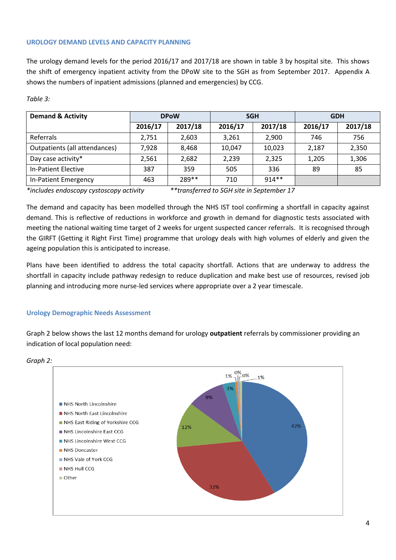### **UROLOGY DEMAND LEVELS AND CAPACITY PLANNING**

The urology demand levels for the period 2016/17 and 2017/18 are shown in table 3 by hospital site. This shows the shift of emergency inpatient activity from the DPoW site to the SGH as from September 2017. Appendix A shows the numbers of inpatient admissions (planned and emergencies) by CCG.

### *Table 3:*

| <b>Demand &amp; Activity</b>  | <b>DPoW</b> |         | <b>SGH</b> |         | <b>GDH</b> |         |
|-------------------------------|-------------|---------|------------|---------|------------|---------|
|                               | 2016/17     | 2017/18 | 2016/17    | 2017/18 | 2016/17    | 2017/18 |
| Referrals                     | 2,751       | 2,603   | 3,261      | 2,900   | 746        | 756     |
| Outpatients (all attendances) | 7,928       | 8,468   | 10,047     | 10,023  | 2,187      | 2,350   |
| Day case activity*            | 2,561       | 2,682   | 2,239      | 2,325   | 1,205      | 1,306   |
| In-Patient Elective           | 387         | 359     | 505        | 336     | 89         | 85      |
| In-Patient Emergency          | 463         | 289**   | 710        | $914**$ |            |         |

*\*includes endoscopy cystoscopy activity \*\*transferred to SGH site in September 17*

The demand and capacity has been modelled through the NHS IST tool confirming a shortfall in capacity against demand. This is reflective of reductions in workforce and growth in demand for diagnostic tests associated with meeting the national waiting time target of 2 weeks for urgent suspected cancer referrals. It is recognised through the GIRFT (Getting it Right First Time) programme that urology deals with high volumes of elderly and given the ageing population this is anticipated to increase.

Plans have been identified to address the total capacity shortfall. Actions that are underway to address the shortfall in capacity include pathway redesign to reduce duplication and make best use of resources, revised job planning and introducing more nurse-led services where appropriate over a 2 year timescale.

### **Urology Demographic Needs Assessment**

Graph 2 below shows the last 12 months demand for urology **outpatient** referrals by commissioner providing an indication of local population need:



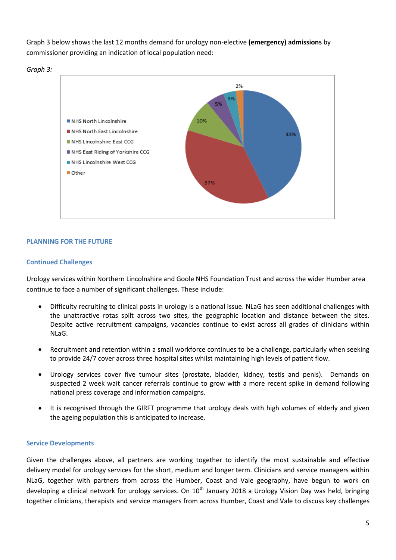Graph 3 below shows the last 12 months demand for urology non-elective **(emergency) admissions** by commissioner providing an indication of local population need:





## **PLANNING FOR THE FUTURE**

### **Continued Challenges**

Urology services within Northern Lincolnshire and Goole NHS Foundation Trust and across the wider Humber area continue to face a number of significant challenges. These include:

- Difficulty recruiting to clinical posts in urology is a national issue. NLaG has seen additional challenges with the unattractive rotas spilt across two sites, the geographic location and distance between the sites. Despite active recruitment campaigns, vacancies continue to exist across all grades of clinicians within NLaG.
- Recruitment and retention within a small workforce continues to be a challenge, particularly when seeking to provide 24/7 cover across three hospital sites whilst maintaining high levels of patient flow.
- Urology services cover five tumour sites (prostate, bladder, kidney, testis and penis). Demands on suspected 2 week wait cancer referrals continue to grow with a more recent spike in demand following national press coverage and information campaigns.
- It is recognised through the GIRFT programme that urology deals with high volumes of elderly and given the ageing population this is anticipated to increase.

### **Service Developments**

Given the challenges above, all partners are working together to identify the most sustainable and effective delivery model for urology services for the short, medium and longer term. Clinicians and service managers within NLaG, together with partners from across the Humber, Coast and Vale geography, have begun to work on developing a clinical network for urology services. On  $10<sup>th</sup>$  January 2018 a Urology Vision Day was held, bringing together clinicians, therapists and service managers from across Humber, Coast and Vale to discuss key challenges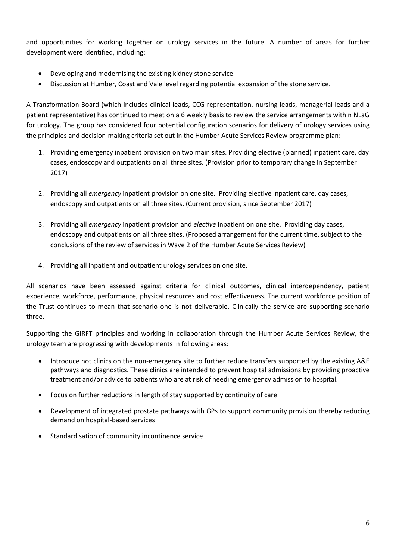and opportunities for working together on urology services in the future. A number of areas for further development were identified, including:

- Developing and modernising the existing kidney stone service.
- Discussion at Humber, Coast and Vale level regarding potential expansion of the stone service.

A Transformation Board (which includes clinical leads, CCG representation, nursing leads, managerial leads and a patient representative) has continued to meet on a 6 weekly basis to review the service arrangements within NLaG for urology. The group has considered four potential configuration scenarios for delivery of urology services using the principles and decision-making criteria set out in the Humber Acute Services Review programme plan:

- 1. Providing emergency inpatient provision on two main sites. Providing elective (planned) inpatient care, day cases, endoscopy and outpatients on all three sites. (Provision prior to temporary change in September 2017)
- 2. Providing all *emergency* inpatient provision on one site. Providing elective inpatient care, day cases, endoscopy and outpatients on all three sites. (Current provision, since September 2017)
- 3. Providing all *emergency* inpatient provision and *elective* inpatient on one site. Providing day cases, endoscopy and outpatients on all three sites. (Proposed arrangement for the current time, subject to the conclusions of the review of services in Wave 2 of the Humber Acute Services Review)
- 4. Providing all inpatient and outpatient urology services on one site.

All scenarios have been assessed against criteria for clinical outcomes, clinical interdependency, patient experience, workforce, performance, physical resources and cost effectiveness. The current workforce position of the Trust continues to mean that scenario one is not deliverable. Clinically the service are supporting scenario three.

Supporting the GIRFT principles and working in collaboration through the Humber Acute Services Review, the urology team are progressing with developments in following areas:

- Introduce hot clinics on the non-emergency site to further reduce transfers supported by the existing A&E pathways and diagnostics. These clinics are intended to prevent hospital admissions by providing proactive treatment and/or advice to patients who are at risk of needing emergency admission to hospital.
- Focus on further reductions in length of stay supported by continuity of care
- Development of integrated prostate pathways with GPs to support community provision thereby reducing demand on hospital-based services
- Standardisation of community incontinence service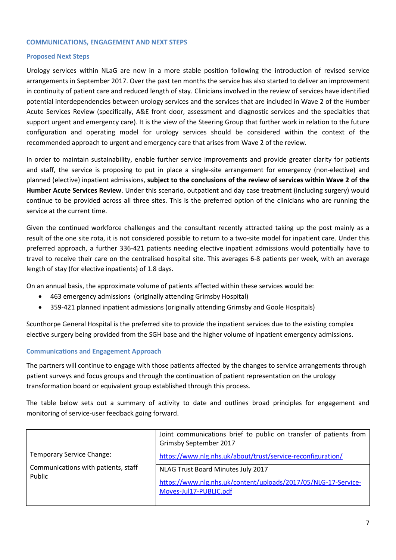#### **COMMUNICATIONS, ENGAGEMENT AND NEXT STEPS**

#### **Proposed Next Steps**

Urology services within NLaG are now in a more stable position following the introduction of revised service arrangements in September 2017. Over the past ten months the service has also started to deliver an improvement in continuity of patient care and reduced length of stay. Clinicians involved in the review of services have identified potential interdependencies between urology services and the services that are included in Wave 2 of the Humber Acute Services Review (specifically, A&E front door, assessment and diagnostic services and the specialties that support urgent and emergency care). It is the view of the Steering Group that further work in relation to the future configuration and operating model for urology services should be considered within the context of the recommended approach to urgent and emergency care that arises from Wave 2 of the review.

In order to maintain sustainability, enable further service improvements and provide greater clarity for patients and staff, the service is proposing to put in place a single-site arrangement for emergency (non-elective) and planned (elective) inpatient admissions, **subject to the conclusions of the review of services within Wave 2 of the Humber Acute Services Review**. Under this scenario, outpatient and day case treatment (including surgery) would continue to be provided across all three sites. This is the preferred option of the clinicians who are running the service at the current time.

Given the continued workforce challenges and the consultant recently attracted taking up the post mainly as a result of the one site rota, it is not considered possible to return to a two-site model for inpatient care. Under this preferred approach, a further 336-421 patients needing elective inpatient admissions would potentially have to travel to receive their care on the centralised hospital site. This averages 6-8 patients per week, with an average length of stay (for elective inpatients) of 1.8 days.

On an annual basis, the approximate volume of patients affected within these services would be:

- 463 emergency admissions (originally attending Grimsby Hospital)
- 359-421 planned inpatient admissions (originally attending Grimsby and Goole Hospitals)

Scunthorpe General Hospital is the preferred site to provide the inpatient services due to the existing complex elective surgery being provided from the SGH base and the higher volume of inpatient emergency admissions.

# **Communications and Engagement Approach**

The partners will continue to engage with those patients affected by the changes to service arrangements through patient surveys and focus groups and through the continuation of patient representation on the urology transformation board or equivalent group established through this process.

The table below sets out a summary of activity to date and outlines broad principles for engagement and monitoring of service-user feedback going forward.

|                                               | Joint communications brief to public on transfer of patients from<br>Grimsby September 2017 |
|-----------------------------------------------|---------------------------------------------------------------------------------------------|
| <b>Temporary Service Change:</b>              | https://www.nlg.nhs.uk/about/trust/service-reconfiguration/                                 |
| Communications with patients, staff<br>Public | NLAG Trust Board Minutes July 2017                                                          |
|                                               | https://www.nlg.nhs.uk/content/uploads/2017/05/NLG-17-Service-<br>Moves-Jul17-PUBLIC.pdf    |
|                                               |                                                                                             |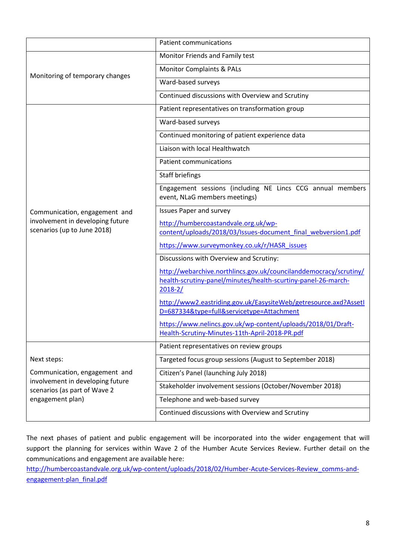|                                                                  | <b>Patient communications</b>                                                                                  |
|------------------------------------------------------------------|----------------------------------------------------------------------------------------------------------------|
| Monitoring of temporary changes                                  | Monitor Friends and Family test                                                                                |
|                                                                  | <b>Monitor Complaints &amp; PALs</b>                                                                           |
|                                                                  | Ward-based surveys                                                                                             |
|                                                                  | Continued discussions with Overview and Scrutiny                                                               |
|                                                                  | Patient representatives on transformation group                                                                |
|                                                                  | Ward-based surveys                                                                                             |
|                                                                  | Continued monitoring of patient experience data                                                                |
|                                                                  | Liaison with local Healthwatch                                                                                 |
|                                                                  | <b>Patient communications</b>                                                                                  |
|                                                                  | <b>Staff briefings</b>                                                                                         |
|                                                                  | Engagement sessions (including NE Lincs CCG annual members<br>event, NLaG members meetings)                    |
| Communication, engagement and                                    | <b>Issues Paper and survey</b>                                                                                 |
| involvement in developing future<br>scenarios (up to June 2018)  | http://humbercoastandvale.org.uk/wp-                                                                           |
|                                                                  | content/uploads/2018/03/Issues-document final webversion1.pdf                                                  |
|                                                                  | https://www.surveymonkey.co.uk/r/HASR_issues<br>Discussions with Overview and Scrutiny:                        |
|                                                                  | http://webarchive.northlincs.gov.uk/councilanddemocracy/scrutiny/                                              |
|                                                                  | health-scrutiny-panel/minutes/health-scurtiny-panel-26-march-                                                  |
|                                                                  | $2018 - 2/$                                                                                                    |
|                                                                  | http://www2.eastriding.gov.uk/EasysiteWeb/getresource.axd?AssetI<br>D=687334&type=full&servicetype=Attachment  |
|                                                                  | https://www.nelincs.gov.uk/wp-content/uploads/2018/01/Draft-<br>Health-Scrutiny-Minutes-11th-April-2018-PR.pdf |
|                                                                  | Patient representatives on review groups                                                                       |
| Next steps:                                                      | Targeted focus group sessions (August to September 2018)                                                       |
| Communication, engagement and                                    | Citizen's Panel (launching July 2018)                                                                          |
| involvement in developing future<br>scenarios (as part of Wave 2 | Stakeholder involvement sessions (October/November 2018)                                                       |
| engagement plan)                                                 | Telephone and web-based survey                                                                                 |
|                                                                  | Continued discussions with Overview and Scrutiny                                                               |

The next phases of patient and public engagement will be incorporated into the wider engagement that will support the planning for services within Wave 2 of the Humber Acute Services Review. Further detail on the communications and engagement are available here:

[http://humbercoastandvale.org.uk/wp-content/uploads/2018/02/Humber-Acute-Services-Review\\_comms-and](http://humbercoastandvale.org.uk/wp-content/uploads/2018/02/Humber-Acute-Services-Review_comms-and-engagement-plan_final.pdf)[engagement-plan\\_final.pdf](http://humbercoastandvale.org.uk/wp-content/uploads/2018/02/Humber-Acute-Services-Review_comms-and-engagement-plan_final.pdf)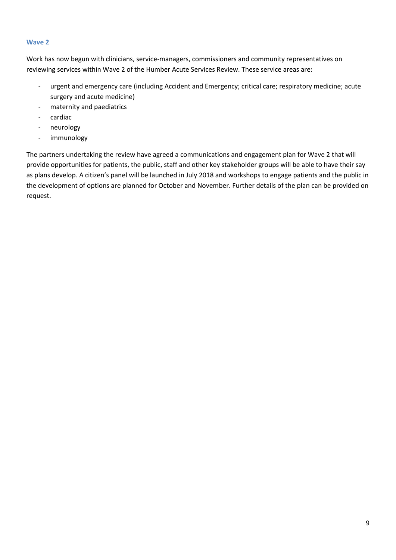### **Wave 2**

Work has now begun with clinicians, service-managers, commissioners and community representatives on reviewing services within Wave 2 of the Humber Acute Services Review. These service areas are:

- urgent and emergency care (including Accident and Emergency; critical care; respiratory medicine; acute surgery and acute medicine)
- maternity and paediatrics
- cardiac
- neurology
- immunology

The partners undertaking the review have agreed a communications and engagement plan for Wave 2 that will provide opportunities for patients, the public, staff and other key stakeholder groups will be able to have their say as plans develop. A citizen's panel will be launched in July 2018 and workshops to engage patients and the public in the development of options are planned for October and November. Further details of the plan can be provided on request.